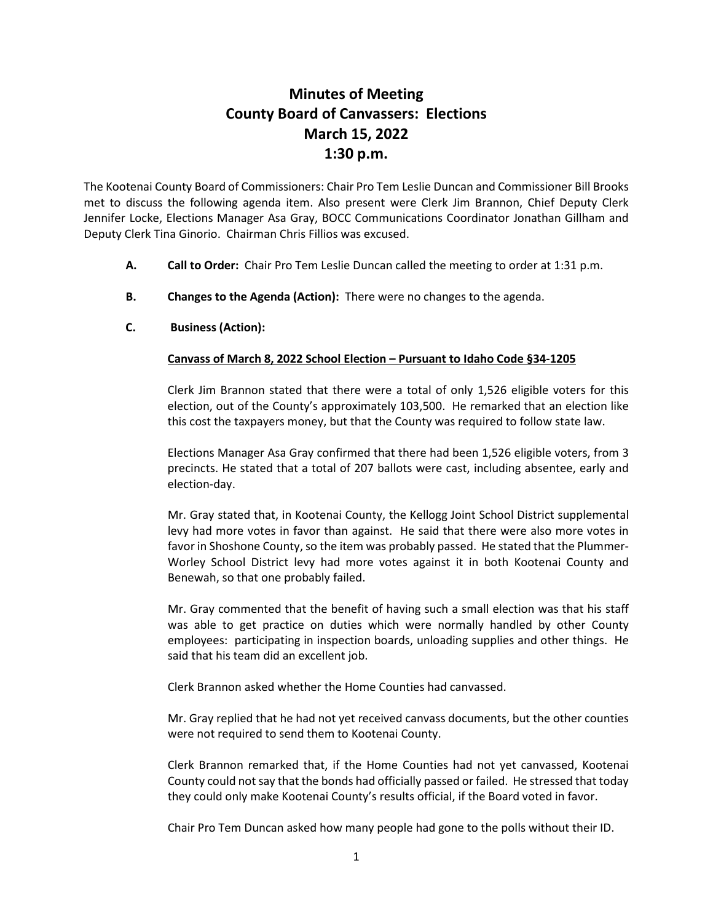## **Minutes of Meeting County Board of Canvassers: Elections March 15, 2022 1:30 p.m.**

The Kootenai County Board of Commissioners: Chair Pro Tem Leslie Duncan and Commissioner Bill Brooks met to discuss the following agenda item. Also present were Clerk Jim Brannon, Chief Deputy Clerk Jennifer Locke, Elections Manager Asa Gray, BOCC Communications Coordinator Jonathan Gillham and Deputy Clerk Tina Ginorio. Chairman Chris Fillios was excused.

- **A. Call to Order:** Chair Pro Tem Leslie Duncan called the meeting to order at 1:31 p.m.
- **B. Changes to the Agenda (Action):** There were no changes to the agenda.
- **C. Business (Action):**

## **Canvass of March 8, 2022 School Election – Pursuant to Idaho Code §34-1205**

Clerk Jim Brannon stated that there were a total of only 1,526 eligible voters for this election, out of the County's approximately 103,500. He remarked that an election like this cost the taxpayers money, but that the County was required to follow state law.

Elections Manager Asa Gray confirmed that there had been 1,526 eligible voters, from 3 precincts. He stated that a total of 207 ballots were cast, including absentee, early and election-day.

Mr. Gray stated that, in Kootenai County, the Kellogg Joint School District supplemental levy had more votes in favor than against. He said that there were also more votes in favor in Shoshone County, so the item was probably passed. He stated that the Plummer-Worley School District levy had more votes against it in both Kootenai County and Benewah, so that one probably failed.

Mr. Gray commented that the benefit of having such a small election was that his staff was able to get practice on duties which were normally handled by other County employees: participating in inspection boards, unloading supplies and other things. He said that his team did an excellent job.

Clerk Brannon asked whether the Home Counties had canvassed.

Mr. Gray replied that he had not yet received canvass documents, but the other counties were not required to send them to Kootenai County.

Clerk Brannon remarked that, if the Home Counties had not yet canvassed, Kootenai County could not say that the bonds had officially passed or failed. He stressed that today they could only make Kootenai County's results official, if the Board voted in favor.

Chair Pro Tem Duncan asked how many people had gone to the polls without their ID.